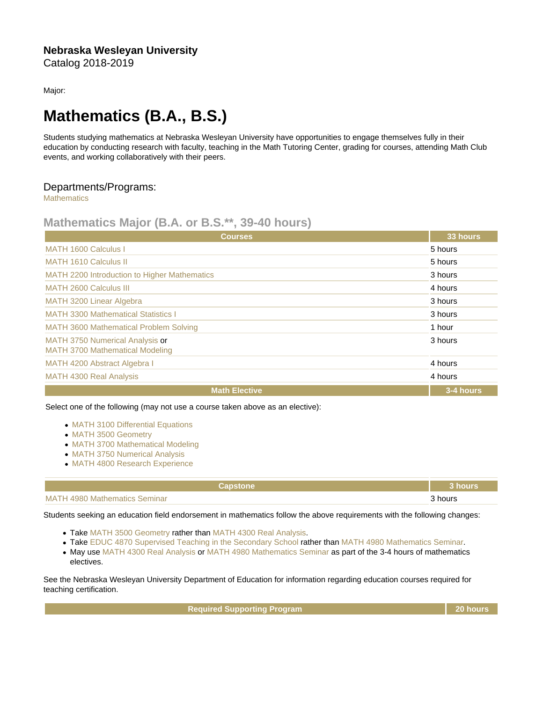Major:

## Mathematics (B.A., B.S.)

Students studying mathematics at Nebraska Wesleyan University have opportunities to engage themselves fully in their education by conducting research with faculty, teaching in the Math Tutoring Center, grading for courses, attending Math Club events, and working collaboratively with their peers.

## Departments/Programs:

**[Mathematics](https://catalog.nebrwesleyan.edu/cc/2018-2019/department/330859)** 

## Mathematics Major (B.A. or B.S.\*\*, 39-40 hours)

| <b>Courses</b>                                                            | 33 hours  |
|---------------------------------------------------------------------------|-----------|
| MATH 1600 Calculus I                                                      | 5 hours   |
| <b>MATH 1610 Calculus II</b>                                              | 5 hours   |
| MATH 2200 Introduction to Higher Mathematics                              | 3 hours   |
| <b>MATH 2600 Calculus III</b>                                             | 4 hours   |
| MATH 3200 Linear Algebra                                                  | 3 hours   |
| <b>MATH 3300 Mathematical Statistics I</b>                                | 3 hours   |
| <b>MATH 3600 Mathematical Problem Solving</b>                             | 1 hour    |
| MATH 3750 Numerical Analysis or<br><b>MATH 3700 Mathematical Modeling</b> | 3 hours   |
| MATH 4200 Abstract Algebra I                                              | 4 hours   |
| <b>MATH 4300 Real Analysis</b>                                            | 4 hours   |
| <b>Math Elective</b>                                                      | 3-4 hours |

Select one of the following (may not use a course taken above as an elective):

- [MATH 3100 Differential Equations](https://catalog.nebrwesleyan.edu/cc/2021-2022/course/359790)
- [MATH 3500 Geometry](https://catalog.nebrwesleyan.edu/cc/2021-2022/course/359795)
- [MATH 3700 Mathematical Modeling](https://catalog.nebrwesleyan.edu/cc/2021-2022/course/358039)
- [MATH 3750 Numerical Analysis](https://catalog.nebrwesleyan.edu/cc/2021-2022/course/359798)
- [MATH 4800 Research Experience](https://catalog.nebrwesleyan.edu/cc/2021-2022/course/362515)

| Capstone                             | <b>hours</b> |
|--------------------------------------|--------------|
| <b>MATH 4980 Mathematics Seminar</b> | hours<br>.   |

Students seeking an education field endorsement in mathematics follow the above requirements with the following changes:

- Take [MATH 3500 Geometry](https://catalog.nebrwesleyan.edu/cc/2021-2022/course/359795) rather than [MATH 4300 Real Analysis](https://catalog.nebrwesleyan.edu/cc/2021-2022/course/359801).
- Take [EDUC 4870 Supervised Teaching in the Secondary School](https://catalog.nebrwesleyan.edu/cc/2021-2022/course/361087) rather than [MATH 4980 Mathematics Seminar.](https://catalog.nebrwesleyan.edu/cc/2021-2022/course/359802)
- May use [MATH 4300 Real Analysis](https://catalog.nebrwesleyan.edu/cc/2021-2022/course/359801) or [MATH 4980 Mathematics Seminar](https://catalog.nebrwesleyan.edu/cc/2021-2022/course/359802) as part of the 3-4 hours of mathematics electives.

See the Nebraska Wesleyan University Department of Education for information regarding education courses required for teaching certification.

Required Supporting Program 20 hours 20 hours